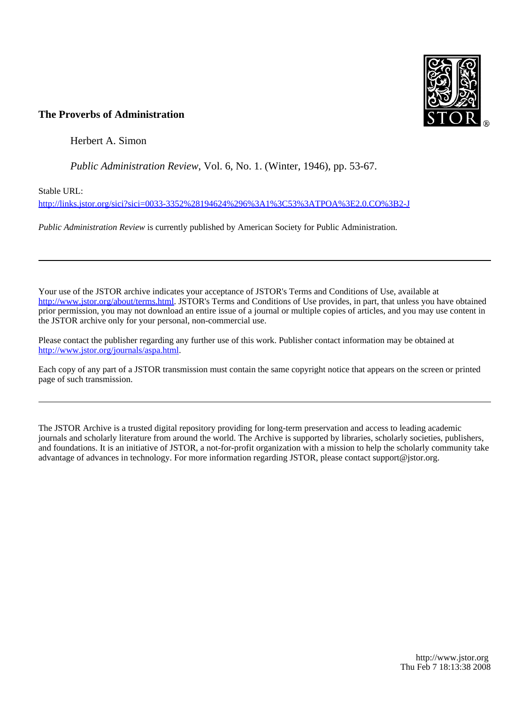

### **The Proverbs of Administration**

Herbert A. Simon

*Public Administration Review*, Vol. 6, No. 1. (Winter, 1946), pp. 53-67.

Stable URL:

<http://links.jstor.org/sici?sici=0033-3352%28194624%296%3A1%3C53%3ATPOA%3E2.0.CO%3B2-J>

*Public Administration Review* is currently published by American Society for Public Administration.

Your use of the JSTOR archive indicates your acceptance of JSTOR's Terms and Conditions of Use, available at [http://www.jstor.org/about/terms.html.](http://www.jstor.org/about/terms.html) JSTOR's Terms and Conditions of Use provides, in part, that unless you have obtained prior permission, you may not download an entire issue of a journal or multiple copies of articles, and you may use content in the JSTOR archive only for your personal, non-commercial use.

Please contact the publisher regarding any further use of this work. Publisher contact information may be obtained at <http://www.jstor.org/journals/aspa.html>.

Each copy of any part of a JSTOR transmission must contain the same copyright notice that appears on the screen or printed page of such transmission.

The JSTOR Archive is a trusted digital repository providing for long-term preservation and access to leading academic journals and scholarly literature from around the world. The Archive is supported by libraries, scholarly societies, publishers, and foundations. It is an initiative of JSTOR, a not-for-profit organization with a mission to help the scholarly community take advantage of advances in technology. For more information regarding JSTOR, please contact support@jstor.org.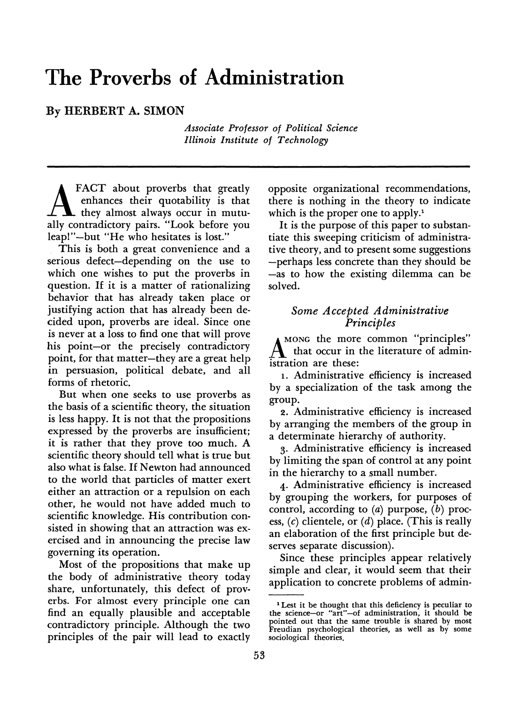# **The Proverbs of Administration**

#### **By HERBERT A. SIMON**

Associate Professor of Political Science Illinois Institute of Technology

**AFACT** about proverbs that greatly<br>
enhances their quotability is that<br>
they almost always occur in mutu-<br>
ally contradictory pairs "Look before you enhances their quotability is that ally contradictory pairs. "Look before you 1eapl"-but "He who hesitates is lost."

This is both a great convenience and a serious defect-depending on the use to which one wishes to put the proverbs in question. If it is a matter of rationalizing behavior that has already taken place or justifying action that has already been decided upon, proverbs are ideal. Since one is never at a loss to find one that will prove his point-or the precisely contradictory point, for that matter-they are a great help in persuasion, political debate, and all forms of rhetoric.

But when one seeks to use proverbs as the basis of a scientific theory, the situation is less happy. It is not that the propositions expressed by the proverbs are insufficient; it is rather that they prove too much. **A**  scientific theory should tell what is true but also what is false. If Newton had announced to the world that particles of matter exert either an attraction or a repulsion on each other, he would not have added much to scientific knowledge. His contribution consisted in showing that an attraction was exercised and in announcing the precise law governing its operation.

Most of the propositions that make up the body of administrative theory today share, unfortunately, this defect of proverbs. For almost every principle one can find an equally plausible and acceptable contradictory principle. Although the two principles of the pair will lead to exactly opposite organizational recommendations, there is nothing in the theory to indicate which is the proper one to apply. $<sup>1</sup>$ </sup>

It is the purpose of this paper to substantiate this sweeping criticism of administrative theory, and to present some suggestions -perhaps less concrete than they should be -as to how the existing dilemma can be solved.

#### *Some Accepted Administrative Principles*

MONG the more common "principles" that occur in the literature of administration are these:

**1.** Administrative efficiency is increased by a specialization of the task among the group.

2. Administrative efficiency is increased by arranging the members of the group in a determinate hierarchy of authority.

**3.** Administrative efficiency is increased by limiting the span of control at any point in the hierarchy to a small number.

4. Administrative efficiency is increased by grouping the workers, for purposes of control, according to  $(a)$  purpose,  $(b)$  process,  $(c)$  clientele, or  $(d)$  place. (This is really an elaboration of the first principle but deserves separate discussion).

Since these principles appear relatively simple and clear, it would seem that their application to concrete problems of admin-

**<sup>&#</sup>x27;Lest it be thought that this deficiency is peculiar to**  the science-or "art"-of administration, it should be **pointed out that the same trouble is shared by most Freudian psychological theories, as well as by some sociological theories.**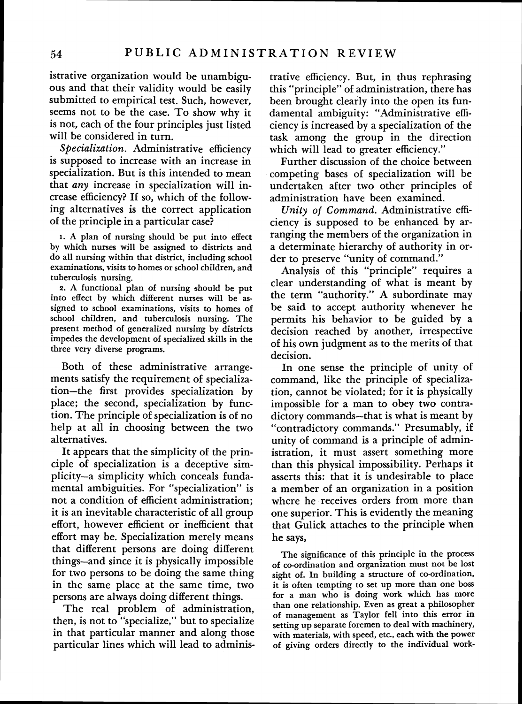istrative organization would be unambiguous and that their validity would be easily submitted to empirical test. Such, however, seems not to be the case. To show why it is not, each of the four principles just listed will be considered in turn.

Specialization. Administrative efficiency is supposed to increase with an increase in specialization. But is this intended to mean that *any* increase in specialization will increase efficiency? If so, which of the following aIternatives is the correct application of the principle in a particular case?

**I. A** plan of nursing should be put into effect by which nurses will be assigned to districts and do all nursing within that district, including school examinations, visits to homes or school children, and tuberculosis nursing.

**2. A** functional plan of nursing should be put into effect by which different nurses will be assigned to school examinations, visits .to homes of school children, and tuberculosis nursing. The present method of generalized nursing by districts impedes the development of specialized skills in the three very diverse programs.

Both of these administrative arrangements satisfy the requirement of specialization-the first provides specialization by place; the second, specialization by function. The principle of specialization is of no help at all in choosing between the two alternatives.

It appears that the simplicity of the principle of specialization is a deceptive simplicity-a simplicity which conceals fundamental ambiguities. For "specialization" is not a condition of efficient administration; it is an inevitable characteristic of all group effort, however efficient or inefficient that effort may be. Specialization merely means that different persons are doing different things-and since it is physically impossible for two persons to be doing the same thing in the same place at the same time, two persons are always doing different things.

The real problem of administration, then, is not to "specialize," but to specialize in that particular manner and along those particular lines which will lead to administrative efficiency. But, in thus rephrasing this "principle" of administration, there has been brought clearly into the open its fundamental ambiguity: "Administrative efficiency is increased by a specialization of the task among the group in the direction which will lead to greater efficiency."

Further discussion of the choice between competing bases of specialization will be undertaken after two other principles of administration have been examined.

*Unity of Command.* Administrative efficiency is supposed to be enhanced by arranging the members of the organization in a determinate hierarchy of authority in order to preserve "unity of command."

Analysis of this "principle" requires a clear understanding of what is meant by the term "authority." A subordinate may be said to accept authority whenever he permits his behavior to be guided by a decision reached by another, irrespective of his own judgment as to the merits of that decision.

In one sense the principle of unity of command, like the principle of specialization, cannot be violated; for it is physically impossible for a man to obey two contradictory commands-that is what is meant by "contradictory commands." Presumably, if unity of command is a principle of administration, it must assert something more than this physical impossibility. Perhaps it asserts this: that it is undesirable to place a member of an organization in a position where he receives orders from more than one superior. This is evidently the meaning that Gulick attaches to the principle when he says,

The significance of this principle in the process of co-ordination and organization must not be lost sight of. In building a structure of co-ordination, it is often tempting to set up more than one boss for a man who is doing work which has more than one relationship. Even as great a philosopher of management as Taylor fell into this error in setting up separate foremen to deal with machinery, with materials, with speed, etc., each with the power of giving orders directly to the individual work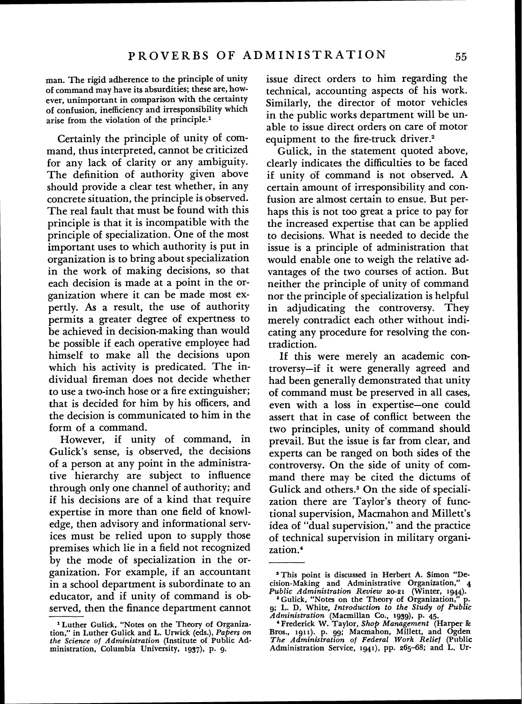**man. The rigid adherence to the principle of unity of command may have its absurdities; these are, however, unimportant in comparison with the certainty of confusion, inefficiency and irresponsibility which arise from the violation of the principle.1** 

Certainly the principle of unity of command, thus interpreted, cannot be criticized for any lack of clarity or any ambiguity. The definition of authority given above should provide a clear test whether, in any concrete situation, the principle is observed. The real fault that must be found with this principle is that it is incompatible with the principle of specialization. One of the most important uses to which authority is put in organization is to bring about specialization in the work of making decisions, so that each decision is made at a point in the organization where it can be made most expertly. As a result, the use of authority permits a greater degree of expertness to be achieved in decision-making than would be possible if each operative employee had himself to make all the decisions upon which his activity is predicated. The individual fireman does not decide whether to use a two-inch hose or a fire extinguisher; that is decided for him by his officers, and the decision is communicated to him in the form of a command.

However, if unity of command, in Gulick's sense, is observed, the decisions of a person at any point in the administrative hierarchy are subject to influence through only one channel of authority; and if his decisions are of a kind that require expertise in more than one field of knowledge, then advisory and informational services must be relied upon to supply those premises which lie in a field not recognized by the mode of specialization in the organization. For example, if an accountant in a school department is subordinate to an educator, and if unity of command is observed, then the finance department cannot

issue direct orders to him regarding the technical, accounting aspects of his work. Similarly, the director of motor vehicles in the public works department will be unable to issue direct orders on care of motor equipment to the fire-truck driver.<sup>2</sup>

Gulick, in the statement quoted above, clearly indicates the difficulties to be faced if unity of command is not observed. **A**  certain amount of irresponsibility and confusion are almost certain to ensue. But perhaps this is not too great a price to pay for the increased expertise that can be applied to decisions. What is needed to decide the issue is a principle of administration that would enable one to weigh the relative advantages of the two courses of action. But neither the principle of unity of command nor the principle of specialization is helpful in adjudicating the controversy. They merely contradict each other without indicating any procedure for resolving the contradiction.

If this were merely an academic controversy-if it were generally agreed and had been generally demonstrated that unity of command must be preserved in all cases, even with a loss in expertise-one could assert that in case of conflict between the two principles, unity of command should prevail. But the issue is far from clear, and experts can be ranged on both sides of the controversy. On the side of unity of command there may be cited the dictums of Gulick and others.<sup>3</sup> On the side of specialization there are Taylor's theory of functional supervision, Macmahon and Millett's idea of "dual supervision," and the practice of technical supervision in military organi $zation<sup>4</sup>$ 

**Luther Gulick, "Notes on the Theory of Organiza- tion," in Luther Gulick and L. Urwick (eds.),** *Papers on the Science of Administration* **(Institute of Public Ad** $ministration,$  Columbia University, 1937), p. 9.

**<sup>&#</sup>x27;This point is discussed in Herbert A. Simon "Decision-Making and Administrative Organization," 4**  *Public Administration Review* **20-21 (Winter, 1944).**

**Gulick, "Notes on the Theory of Organization," g; L. D. White,** *Introduction to the Study of Publ~c* 

*Administration* **(Macmillan Co., ~gsg),p. 45.** '**Frederick W. Taylor,** *Shop Management* **(Harper** & **Bros., 1911). p. 99; Macmahon, Millett, and Ogden** *The Administration of Federal Work Relief* (Public **Administration Service, 1941).pp. 265-68; and L. Ur-**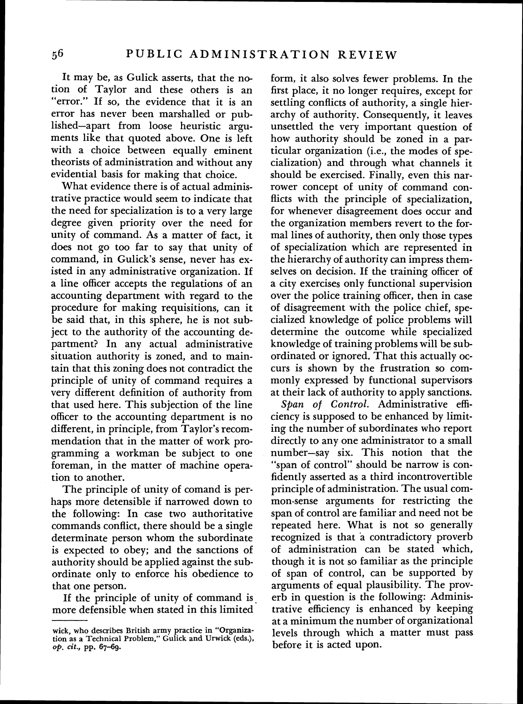It may be, as Gulick asserts, that the notion of Taylor and these others is an "error." If so, the evidence that it is an error has never been marshalled or published-apart from loose heuristic arguments like that quoted above. One is left with a choice between equally eminent theorists of administration and without any evidential basis for making that choice.

What evidence there is of actual administrative practice would seem to indicate that the need for specialization is to a very large degree given priority over the need for unity of command. As a matter of fact, it does not go too far to say that unity of command, in Gulick's sense, never has existed in any administrative organization. If a line officer accepts the regulations of an accounting department with regard to the procedure for making requisitions, can it be said that, in this sphere, he is not subject to the authority of the accounting department? In any actual administrative situation authority is zoned, and to maintain that this zoning does not contradict the principle of unity of command requires a very different definition of authority from that used here. This subjection of the line officer to the accounting department is no different, in principle, from Taylor's recommendation that in the matter of work programming a workman be subject to one foreman, in the matter of machine operation to another.

The principle of unity of comand is perhaps more detensible if narrowed down to the following: In case two authoritative commands conflict, there should be a single determinate person whom the subordinate is expected to obey; and the sanctions of authority should be applied against the subordinate only to enforce his obedience to that one person.

If the principle of unity of command is. more defensible when stated in this limited

form, it also solves fewer problems. In the first place, it no longer requires, except for settling conflicts of authority, a single hierarchy of authority. Consequently, it leaves unsettIed the very important question of how authority should be zoned in a particular organization (i.e., the modes of specialization) and through what channels it should be exercised. Finally, even this narrower concept of unity of command conflicts with the principle of specialization, for whenever disagreement does occur and the organization members revert to the formal lines of authority, then only those types of specialization which are represented in the hierarchy of authority can impress themselves on decision. If the training officer of a city exercises only functional supervision over the police training officer, then in case of disagreement with the police chief, specialized knowledge of police problems will determine the outcome while specialized knowledge of training problems will be subordinated or ignored. That this actually *oc*curs is shown by the frustration so commonly expressed by functional supervisors at their lack of authority to apply sanctions.

*Span* of Control. Administrative efficiency is supposed to be enhanced by limiting the number of subordinates who report directly to any one administrator to a small number-say six. This notion that the "span of control" should be narrow is confidently asserted as a third incontrovertible principle of administration. The usual common-sense arguments for restricting the span of control are familiar and need not be repeated here. What is not so generally recognized is that a contradictory proverb of administration can be stated which, though it is not so familiar as the principle of span of control, can be supported by arguments of equal plausibility. The proverb in question is the following: Administrative efficiency is enhanced by keeping at a minimum the number of organizational levels through which a matter must pass before it is acted upon.

**wick, who describes British army practice in "Organization as a Technical Problem," Gulick and Urwick (eds.), op. cit.,** pp. **67-69.**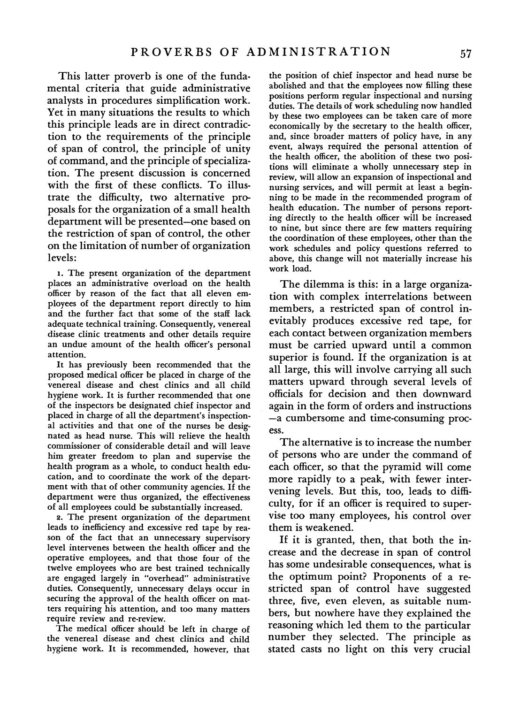This latter proverb is one of the fundamental criteria that guide administrative analysts in procedures simplification work. Yet in many situations the results to which this principle leads are in direct contradiction to the requirements of the principle of span of control, the principle of unity of command, and the principle of specialization. The present discussion is concerned with the first of these conflicts. To illustrate the difficulty, two alternative proposals for the organization of a small health department will be presented-one based on the restriction of span of control, the other on the limitation of number of organization levels:

**1.** The present organization of the department places an administrative overload on the health officer by reason of the fact that all eleven employees of the department report directly to him and the further fact that some of the staff lack adequate technical training. Consequently, venereal disease clinic treatments and other details require an undue amount of the health officer's personal attention.

It has previously been recommended that the proposed medical officer be placed in charge of the venereal disease and chest clinics and all child hygiene work. It is further recommended that one of the inspectors be designated chief inspector and placed in charge of all the department's inspectiona1 activities and that one of the nurses be designated as head nurse. This will relieve the health commissioner of considerable detail and will leave him greater freedom to plan and supervise the health program as a whole, to conduct health education, and to coordinate the work of the department with that of other community agencies. If the department were thus organized, the effectiveness of all employees could be substantially increased.

**2.** The present organization of the department leads to inefficiency and excessive red tape by reason of the fact that an unnecessary supervisory level intervenes between the health officer and the operative employees, and that those four of the twelve employees who are best trained technically are engaged largely in "overhead" administrative duties. Consequently, unnecessary delays occur in securing the approval of the health officer on matters requiring his attention, and too many matters require review and re-review.

The medical officer should be left in charge of the venereal disease and chest clinics and child hygiene work. It is recommended, however, that

the position of chief inspector and head nurse be abolished and that the employees now filling these positions perform regular inspectional and nursing duties. The details of work scheduling now handled by these two employees can be taken care of more economically by the secretary to the health officer, and, since broader matters of policy have, in any event, always required the personal attention of the health officer, the abolition of these two positions will eliminate a wholly unnecessary step in review, will allow an expansion of inspectional and nursing services, and will permit at least a beginning to be made in the recommended program of health education. The number of persons reporting directly to the health officer will be increased to nine, but since there are few matters requiring the coordination of these employees, other than the work schedules and policy questions referred to above, this change will not materially increase his work load.

The dilemma is this: in a large organization with complex interrelations between members, a restricted span of control inevitably produces excessive red tape, for each contact between organization members must be carried upward until a common superior is found. If the organization is at all large, this will involve carrying all such matters upward through several levels of officials for decision and then downward again in the form of orders and instructions -a cumbersome and time-consuming process.

The alternative is to increase the number of persons who are under the command of each officer, so that the pyramid will come more rapidly to a peak, with fewer intervening levels. But this, too, leads to difficulty, for if an officer is required to supervise too many employees, his control over them is weakened.

If it is granted, then, that both the increase and the decrease in span of control has some undesirable consequences, what is the optimum point? Proponents of a restricted span of control have suggested three, five, even eleven, as suitable numbers, but nowhere have they explained the reasoning which led them to the particular number they selected. The principle as stated casts no light on this very crucial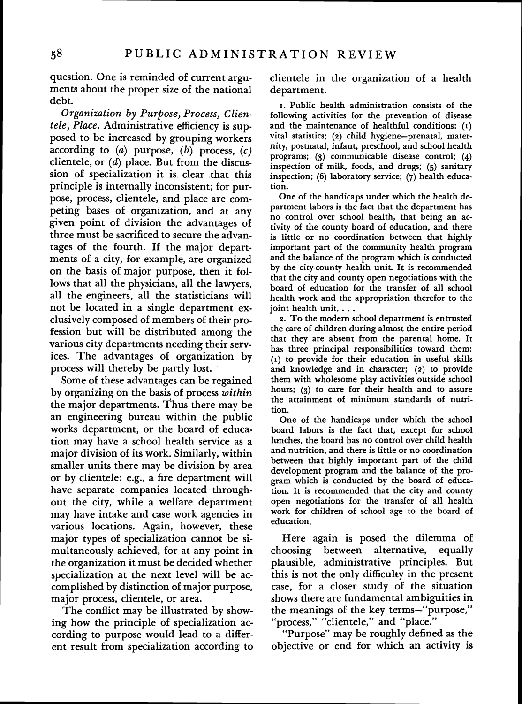question. One is reminded of current arguments about the proper size of the national debt.

*Organiration by Purpose, Process, Clientele, Place.* Administrative efficiency is supposed to be increased by grouping workers according to *(a)* purpose, *(b)* process, (c) clientele, or (d) place. But from the discussion of specialization it is clear that this principle is internally inconsistent; for purpose, process, clientele, and place are competing bases of organization, and at any given point of division the advantages of three must be sacrificed to secure the advantages of the fourth. If the major departments of a city, for example, are organized on the basis of major purpose, then it follows that all the physicians, all the lawyers, all the engineers, all the statisticians will not be located in a single department exclusively composed of members of their profession but will be distributed among the various city departments needing their services. The advantages of organization by process will thereby be partly lost.

Some of these advantages can be regained by organizing on the basis of process *within*  the major departments. Thus there may be an engineering bureau within the public works department, or the board of education may have a school health service as a major division of its work. Similarly, within smaller units there may be division by area or by clientele: e.g., a fire department will have separate companies located throughout the city, while a welfare department may have intake and case work agencies in various locations. Again, however, these major types of specialization cannot be simultaneously achieved, for at any point in the organization it must be decided whether specialization at the next level will be accomplished by distinction of major purpose, major process, clientele, or area.

The conflict may be illustrated by showing how the principle of specialization according to purpose would lead to a different result from specialization according to clientele in the organization of a health department.

**1.** Public health administration consists of the following activities for the prevention of disease and the maintenance of healthful conditions: **(I)**  vital statistics; (2) child hygiene-prenatal, maternity, postnatal, infant, preschool, and school health programs; **(3)** communicable disease control; **(4)**  inspection of milk, foods, and drugs; (5) sanitary inspection; (6) laboratory service;  $(7)$  health education.

One of the handicaps under which the health department labors is the fact that the department has no control over school health, that being an activity of the county board of education, and there is little or no coordination between that highly important part of the community health program and the balance of the program which is conducted by the city-county health unit. It is recommended that the city and county open negotiations with the board of education for the transfer of all school health work and the appropriation therefor to the joint health unit. . . .

**2.** To the modern school department is entrusted the care of children during almost the entire period that they are absent from the parental home. It has three principal responsibilities toward them: **(1)** to provide for their education in useful skills and knowledge and in character; (2) to provide them with wholesome play activities outside school hours; **(3)** to care for their health and to assure the attainment of minimum standards of nutrition.

One of the handicaps under which the school board labors is the fact that, except for school lunches, the board has no control over child health and nutrition, and there is little or no coordination between that highly important part of the child development program and the balance of the program which is conducted by the board of education. It is recommended that the city and county open negotiations for the transfer of all health work for children of school age to the board of education.

Here again is posed the dilemma of choosing between alternative, equally plausible, administrative principles. But this is not the only difficulty in the present case, for a closer study of the situation shows there are fundamental ambiguities in the meanings of the key terms-"purpose," "process," "clientele," and "place."

"Purpose" may be roughly defined as the objective or end for which an activity is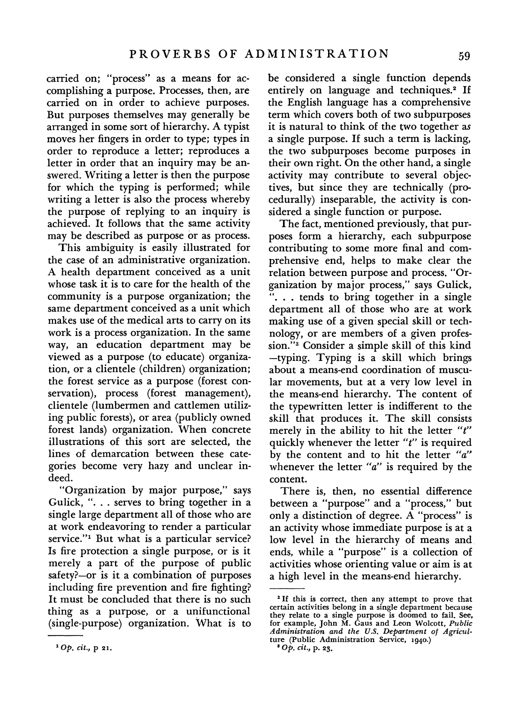carried on; "process" as a means for accomplishing a purpose. Processes, then, are carried on in order to achieve purposes. But purposes themselves may generally be arranged in some sort of hierarchy. **A** typist moves her fingers in order to type; types in order to reproduce a letter; reproduces a letter in order that an inquiry may be answered. Writing a letter is then the purpose for which the typing is performed; while writing a letter is also the process whereby the purpose of replying to an inquiry is achieved. It follows that the same activity may be described as purpose or as process.

This ambiguity is easily illustrated for the case of an administrative organization. A health department conceived as a unit whose task it is to care for the health of the community is a purpose organization; the same department conceived as a unit which makes use of the medical arts to carry on its work is a process organization. In the same way, an education department may be viewed as a purpose (to educate) organization, or a clientele (children) organization; the forest service as a purpose (forest conservation), process (forest management), clientele (lumbermen and cattlemen utilizing public forests), or area (publicly owned forest lands) organization. When concrete illustrations of this sort are selected, the lines of demarcation between these categories become very hazy and unclear indeed.

"Organization by major purpose," says Gulick, ". . . serves to bring together in a single large department all of those who are at work endeavoring to render a particular service."<sup>1</sup> But what is a particular service? Is fire protection a single purpose, or is it merely a part of the purpose of public safety?—or is it a combination of purposes including fire prevention and fire fighting? It must be concluded that there is no such thing as a purpose, or a unifunctional (single-purpose) organization. What is to be considered a single function depends entirely on language and techniques.<sup>2</sup> If the English language has a comprehensive term which covers both of two subpurposes it is natural to think of the two together as a single purpose. If such a term is lacking, the two subpurposes become purposes in their own right. On the other hand, a single activity may contribute to several objectives, but since they are technically (procedurally) inseparable, the activity is considered a single function or purpose.

The fact, mentioned previously, that purposes form a hierarchy, each subpurpose contributing to some more final and comprehensive end, helps to make clear the relation between purpose and process. "Organization by major process," says Gulick, ". . . tends to bring together in a single department all of those who are at work making use of a given special skill or technology, or are members of a given profession."<sup>3</sup> Consider a simple skill of this kind -typing. Typing is a skill which brings about a means-end coordination of muscular movements, but at a very low level in the means-end hierarchy. The content of the typewritten letter is indifferent to the skill that produces it. The skill consists merely in the ability to hit the letter  $''t''$ quickly whenever the letter **"t"** is required by the content and to hit the letter "a" whenever the letter "a" is required by the content.

There is, then, no essential difference between a "purpose" and a "process," but only a distinction of degree. **A** "process" is an activity whose immediate purpose is at a low level in the hierarchy of means and ends, while a "purpose" is a collection of activities whose orienting value or aim is at a high level in the means-end hierarchy.

<sup>&</sup>lt;sup>2</sup> If this is correct, then any attempt to prove that certain activities belong in a single department because they relate to a single purpose is doomed to fail. **See,**  for example, John M. Gaus and Leon Wolcott, *Public Administration and the U.S. Department of Agricul*ture (Public Administration Service, 1940.)

*Op. cit.,* p 21.

*Op. cit.,* p. *23.*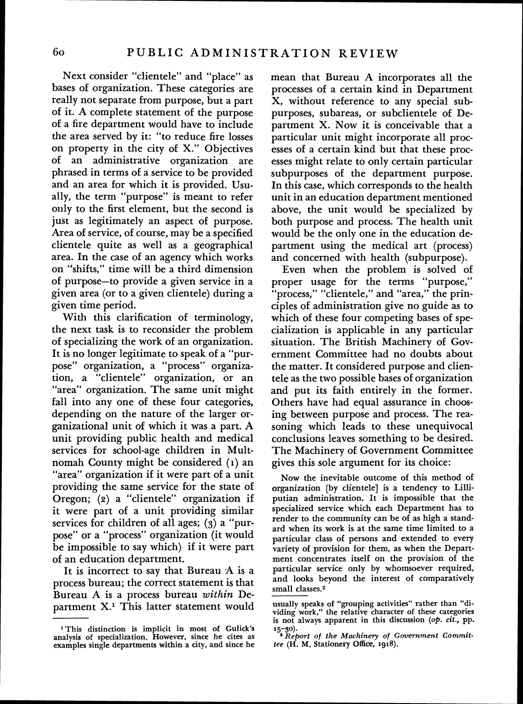Next consider "clientele" and "place" as bases of organization. These categories are really not separate from purpose, but a part of it. A complete statement of the purpose of a fire department would have to include the area served by it: "to reduce fire losses on property in the city of X." Objectives of an administrative organization are phrased in terms of a service to be provided and an area for which it is provided. Usually, the term "purpose" is meant to refer orlly to the first element, but the second is just as legitimately an aspect of purpose. Area of service, of course, may be a specified clientele quite as well as a geographical area. In the case of an agency which works on "shifts," time will be a third dimension of purpose-to provide a given service in a given area (or to a given clientele) during a given time period.

With this clarification of terminology, the next task is to reconsider the problem of specializing the work of an organization. It is no longer legitimate to speak of a "purpose" organization, a "process" organization, a "clientele" organization, or an "area" organization. The same unit might fall into any one of these four categories, depending on the nature of the larger organizational unit of which it was a part. **A**  unit providing public health and medical services for school-age children in Multnomah County might be considered (I) an "area" organization if it were part of a unit providing the same service for the state of Oregon; **(2)** a "clientele" organization if it were part of a unit providing similar services for children of all ages; **(3)** a "purpose" or a "process" organization (it would be impossible to say which) if it were part of an education department.

It is incorrect to say that Bureau **.A** is a process bureau; the correct statement is that Bureau **A** is a process bureau within Department X.<sup>1</sup> This latter statement would mean that Bureau **A** incorporates all the processes of a certain kind in Department X, without reference to any special subpurposes, subareas, or subclientele of Department X. Now it is conceivable that a particular unit might incorporate all processes of a certain kind but that these processes might relate to only certain particular subpurposes of the department purpose. In this case, which corresponds to the health unit in an education department mentioned above, the unit would be specialized by both purpose and process. The health unit would be the only one in the education department using the medical art (process) and concerned with health (subpurpose).

Even when the problem is solved of proper usage for the terms "purpose," "process," "clientele," and "area," the principles of administration give no guide as to which of these four competing bases of specialization is applicable in any particular situation. The British Machinery of Government Committee had no doubts about the matter. It considered purpose and clientele as the two possible bases of organization and put its faith entirely in the former. Others have had equal assurance in choosing between purpose and process. The reasoning which leads to these unequivocal conclusions leaves something to be desired. The Machinery of Government Committee gives this sole argument for its choice:

**Now the inevitable outcome of this method of organization [by clientele] is a tendency to Lilliputian administration. It is impossible that the specialized service which each Department has to render to the community can be of as high a standard when its work is at the same time limited to a particular class of persons and extended to every variety of provision for them, as when the Department concentrates itself on the provision of the particular service only by whomsoever required, and looks beyond the interest of comparatively small classes.2** 

**<sup>&#</sup>x27;This distinction is implicit in most of Gulick's analysis of specialization. However, since he cites as examples single departments within a city, and since he** 

**usually speaks of "grouping activities" rather than "dividing work," the relative character of these categories**  is not always apparent in this discussion (op. cit., pp. **15-30).** *'Report* of *the Machinery* **of** *Government Commit-*

*tee (H. M.* **Stationery Office, 1918).**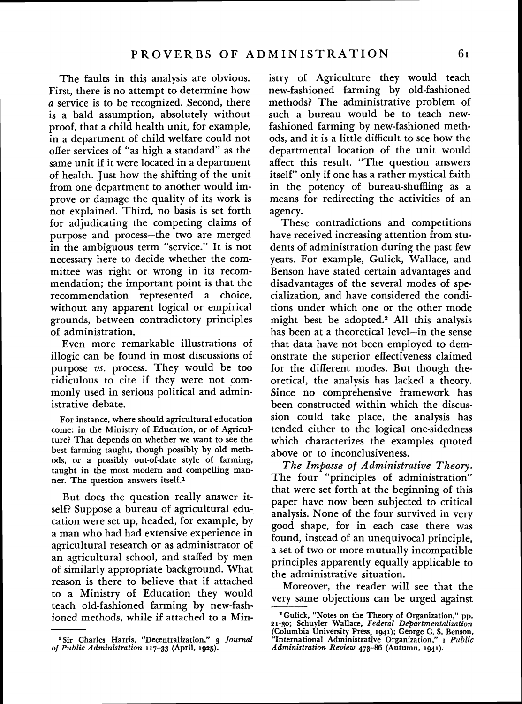The faults in this analysis are obvious. First, there is no attempt to determine how a service is to be recognized. Second, there is a bald assumption, absolutely without proof, that a child health unit, for example, in a department of child welfare could not offer services of "as high a standard" as the same unit if it were located in a department of health. Just how the shifting of the unit from one department to another would improve or damage the quality of its work is not explained. Third, no basis is set forth for adjudicating the competing claims of purpose and process-the two are merged in the ambiguous term "service." It is not necessary here to decide whether the committee was right or wrong in its recommendation; the important point is that the recommendation represented a choice, without any apparent logical or empirical grounds, between contradictory principles of administration.

Even more remarkable illustrations of illogic can be found in most discussions of purpose *vs.* process. They would be too ridiculous to cite if they were not commonly used in serious political and administrative debate.

For instance, where should agricultural education come: in the Ministry of Education, or of Agriculture? That depends on whether we want to see the best farming taught, though possibly by old methods, or a possibly out-of-date style of farming, taught in the most modern and compelling manner. The question answers itself.1

But does the question really answer itself? Suppose a bureau of agricultural education were set up, headed, for example, by a man who had had extensive experience in agricultural research or as administrator of an agricultural school, and staffed by men of similarly appropriate background. What reason is there to believe that if attached to a Ministry of Education they would teach old-fashioned farming by new-fashioned methods, while if attached to a Ministry of Agriculture they would teach new-fashioned farming by old-fashioned methods? The administrative problem of such a bureau would be to teach newfashioned farming by new-fashioned methods, and it is a little difficult to see how the departmental location of the unit would affect this result. "The question answers itself" only if one has a rather mystical faith in the potency of bureau-shuffling as a means for redirecting the activities of an agency.

These contradictions and competitions have received increasing attention from students of administration during the past few years. For example, Gulick, Wallace, and Benson have stated certain advantages and disadvantages of the several modes of specialization, and have considered the conditions under which one or the other mode might best be adopted.<sup>2</sup> All this analysis has been at a theoretical level-in the sense that data have not been employed to demonstrate the superior effectiveness claimed for the different modes. But though theoretical, the analysis has lacked a theory. Since no comprehensive framework has been constructed within which the discussion could take place, the analysis has tended either to the logical one-sidedness which characterizes the examples quoted above or to inconclusiveness.

*The Impasse of Administrative Theory.*  The four "principles of administration" that were set forth at the beginning of this paper have now been subjected to critical analysis. None of the four survived in very good shape, for in each case there was found, instead of an unequivocal principle, a set of two or more mutually incompatible principles apparently equally applicable to the administrative situation.

Moreover, the reader will see that the very same objections can be urged against

<sup>&#</sup>x27;Sir Charles Harris, "Decentralization," **3** *Journal*  of Public Administration 117-33 (April, 1925).

<sup>&#</sup>x27;Gulick, "Notes on the Theory of Organization," pp. 21-30; Schuyler Wallace, *Federal Departmentalization*  (Columbia Univenity Press, 1941); George C. S. Benson, "International Administrative Organization," I *Public Administration Review* 473-86 (Autumn, 1941).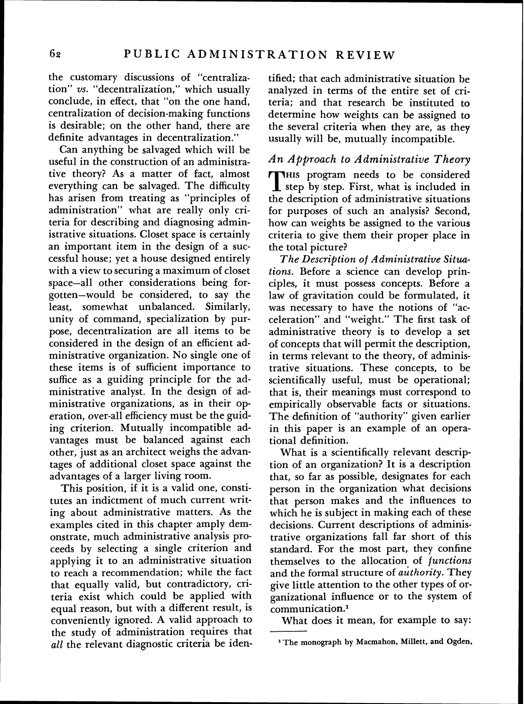the customary discussions of "centralization'' *vs.* "decentralization," which usually conclude, in effect, that "on the one hand, centralization of decision-making functions is desirable; on the other hand, there are definite advantages in decentralization."

Can anything be salvaged which will be useful in the construction of an administrative theory? As a matter of fact, almost everything can be salvaged. The difficulty has arisen from treating as "principles of administration" what are really only criteria for describing and diagnosing administrative situations. Closet space is certainly an important item in the design of a successful house; yet a house designed entirely with a view to securing a maximum of closet space-all other considerations being forgotten-would be considered, to say the least, somewhat unbalanced. Similarly, unity of command, specialization by purpose, decentralization are all items to be considered in the design of an efficient administrative organization. No single one of these items is of sufficient importance to suffice as a guiding principle for the administrative analyst. In the design of administrative organizations, as in their operation, over-all efficiency must be the guiding criterion. Mutually incompatible advantages must be balanced against each other, just as an architect weighs the advantages of additional closet space against the advantages of a larger living room.

This position, if it is a valid one, constitutes an indictment of much current writing about administrative matters. As the examples cited in this chapter amply demonstrate, much administrative analysis proceeds by selecting a single criterion and applying it to an administrative situation to reach a recommendation; while the fact that equally valid, but contradictory, criteria exist which could be applied with equal reason, but with a different result, is conveniently ignored. **A** valid approach to the study of administration requires that all the relevant diagnostic criteria be iden-

tified; that each administrative situation be analyzed in terms of the entire set of criteria; and that research be instituted to determine how weights can be assigned to the several criteria when they are, as they usually will be, mutually incompatible.

#### *An Approach to Administrative Theory*

THIS program needs to be considered<br>step by step. First, what is included in the description of administrative situations for purposes of such an analysis? Second, how can weights be assigned to the various criteria to give them their proper place in the total picture?

*The Description of Administrative Situations.* Before a science can develop principles, it must possess concepts. Before a law of gravitation could be formulated, it was necessary to have the notions of "acceleration" and "weight." The first task of administrative theory is to develop a set of concepts that will permit the description, in terms relevant to the theory, of administrative situations. These concepts, to be scientifically useful, must be operational; that is, their meanings must correspond to empirically observable facts or situations. The definition of "authority" given earlier in this paper is an example of an operational definition.

What is a scientifically relevant description of an organization? It is a description that, so far as possible, designates for each person in the organization what decisions that person makes and the influences to which he is subject in making each of these decisions. Current descriptions of administrative organizations fall far short of this standard. For the most part, they confine themselves to the allocation of *junctions*  and the formal structure of *authority.*They give little attention to the other types of organizational influence or to the system of communication.<sup>1</sup>

What does it mean, for example to say:

**The monograph** by **Macmahon, Millett, and Ogden,**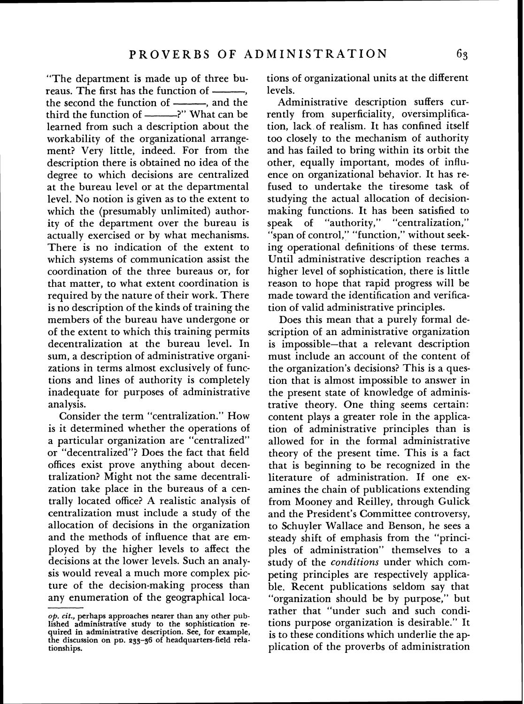the second the function of --------, and the "The department is made up of three bureaus. The first has the function of  $\frac{1}{\sqrt{1-\frac{1}{\sqrt{1-\frac{1}{\sqrt{1-\frac{1}{\sqrt{1-\frac{1}{\sqrt{1-\frac{1}{\sqrt{1-\frac{1}{\sqrt{1-\frac{1}{\sqrt{1-\frac{1}{\sqrt{1-\frac{1}{\sqrt{1-\frac{1}{\sqrt{1-\frac{1}{\sqrt{1-\frac{1}{\sqrt{1-\frac{1}{\sqrt{1-\frac{1}{\sqrt{1-\frac{1}{\sqrt{1-\frac{1}{\sqrt{1-\frac{1}{\sqrt{1-\frac{1}{\sqrt{1-\frac{1}{\sqrt{1-\frac{1$ third the function of  $-\frac{1}{2}$ " What can be learned from such a description about the workability of the organizational arrangement? Very little, indeed. For from the description there is obtained no idea of the degree to which decisions are centralized at the bureau level or at the departmental level. No notion is given as to the extent to which the (presumably unlimited) authority of the department over the bureau is actually exercised or by what mechanisms. There is no indication of the extent to which systems of communication assist the coordination of the three bureaus or, for that matter, to what extent coordination is required by the nature of their work. There is no description of the kinds of training the members of the bureau have undergone or of the extent to which this training permits decentralization at the bureau level. In sum, a description of administrative organizations in terms almost exclusively of functions and lines of authority is completely inadequate for purposes of administrative analysis.

Consider the term "centralization." How is it determined whether the operations of a particular organization are "centralized" or "decentralized"? Does the fact that field offices exist prove anything about decentralization? Might not the same decentralization take place in the bureaus of a centrally located office? **A** realistic analysis of centralization must include a study of the allocation of decisions in the organization and the methods of influence that are employed by the higher levels to affect the decisions at the lower levels. Such an analysis would reveal a much more complex picture of the decision-making process than any enumeration of the geographical locations of organizational units at the different levels.

Administrative description suffers currently from superficiality, oversimplification, lack of realism. It has confined itself too closely to the mechanism of authority and has failed to bring within its orbit the other, equally important, modes of influence on organizational behavior. It has refused to undertake the tiresome task of studying the actual allocation of decisionmaking functions. It has been satisfied to speak of "authority," "centralization," 'span of control," "function," without seeking operational definitions of these terms. Until administrative description reaches a higher level of sophistication, there is little reason to hope that rapid progress will be made toward the identification and verification of valid administrative principles.

Does this mean that a purely formal description of an administrative organization is impossible-that a relevant description must include an account of the content of the organization's decisions? This is a question that is almost impossible to answer in the present state of knowledge of administrative theory. One thing seems certain: content plays a greater role in the application of administrative principles than is allowed for in the formal administrative theory of the present time. This is a fact that is beginning to be recognized in the literature of administration. If one examines the chain of publications extending from Mooney and Reilley, through Gulick and the President's Committee controversy, to Schuyler Wallace and Benson, he sees a steady shift of emphasis from the "principles of administration" themselves to a study of the *conditions* under which competing principles are respectively applicable. Recent publications seldom say that "organization should be by purpose," but rather that "under such and such conditions purpose organization is desirable." It is to these conditions which underlie the application of the proverbs of administration

**op. cit., perhaps approaches nearer than any other published administrative study to the sophistication re- quired in administrative description. See, for example,**  the discussion on pp. 233-36 of headquarters-field rela**tionships.**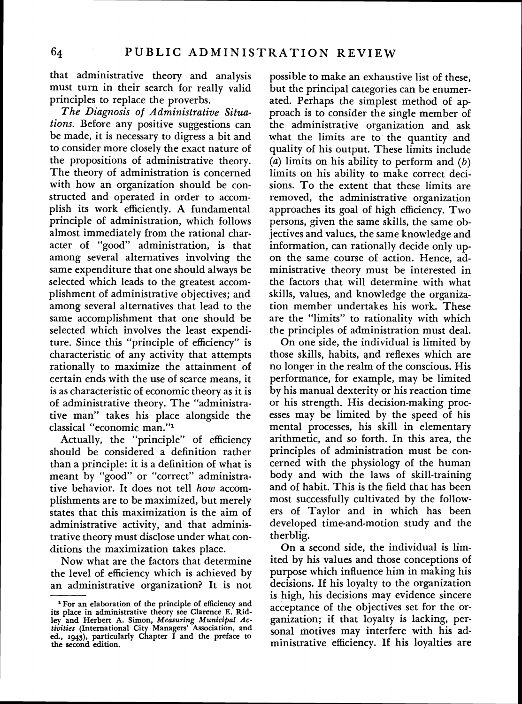that administrative theory and analysis must turn in their search for really valid principles to replace the proverbs.

*The Diagnosis of Administrative Situations.* Before any positive suggestions can be made, it is necessary to digress a bit and to consider more closely the exact nature of the propositions of administrative theory. The theory of administration is concerned with how an organization should be constructed and operated in order to accomplish its work efficiently. **A** fundamental principle of administration, which follows almost immediately from the rational character of "good" administration, is that among several alternatives involving the same expenditure that one should always be selected which leads to the greatest accomplishment of administrative objectives; and among several alternatives that lead to the same accomplishment that one should be selected which involves the least expenditure. Since this "principle of efficiency" is characteristic of any activity that attempts rationally to maximize the attainment of certain ends with the use of scarce means, it is as characteristic of economic theory as it is of administrative theory. The "administrative man" takes his place alongside the classical "economic man."l

Actually, the "principle" of efficiency should be considered a definition rather than a principle: it is a definition of what is meant by "good" or "correct" administrative behavior. It does not tell *how* accomplishments are to be maximized, but merely states that this maximization is the aim of administrative activity, and that administrative theory must disclose under what conditions the maximization takes place.

Now what are the factors that determine the level of efficiency which is achieved by an administrative organization? It is not

possible to make an exhaustive list of these, but the principal categories can be enumerated. Perhaps the simplest method of approach is to consider the single member of the administrative organization and ask what the limits are to the quantity and quality of his output. These limits include  $(a)$  limits on his ability to perform and  $(b)$ limits on his ability to make correct decisions. To the extent that these limits are removed, the administrative organization approaches its goal of high efficiency. Two persons, given the same skills, the same objectives and values, the same knowledge and information, can rationally decide only upon the same course of action. Hence, administrative theory must be interested in the factors that will determine with what skills, values, and knowledge the organization member undertakes his work. These are the "limits" to rationality with which the principles of administration must deal.

On one side, the individual is limited by those skills, habits, and reflexes which are no longer in the realm of the conscious. His performance, for example, may be limited by his manual dexterity or his reaction time or his strength. His decision-making processes may be limited by the speed of his mental processes, his skill in elementary arithmetic, and so forth. In this area, the principles of administration must be concerned with the physiology of the human body and with the laws of skill-training and of habit. This is the field that has been most successfully cultivated by the followers of Taylor and in which has been developed time-and-motion study and the therblig.

On a second side, the individual is limited by his values and those conceptions of purpose which influence him in making his decisions. If his loyalty to the organization is high, his decisions may evidence sincere acceptance of the objectives set for the organization; if that loyalty is lacking, personal motives may interfere with his administrative efficiency. If his loyalties are

**For an elaboration of the principle of efficiency and its place in administrative theory see Clarence E. Rid**ley and Herbert A. Simon, *Measuring Municipal Activities* (International City Managers' Association, 2nd<br>ed., 1943), particularly Chapter I and the preface to **the second edition.**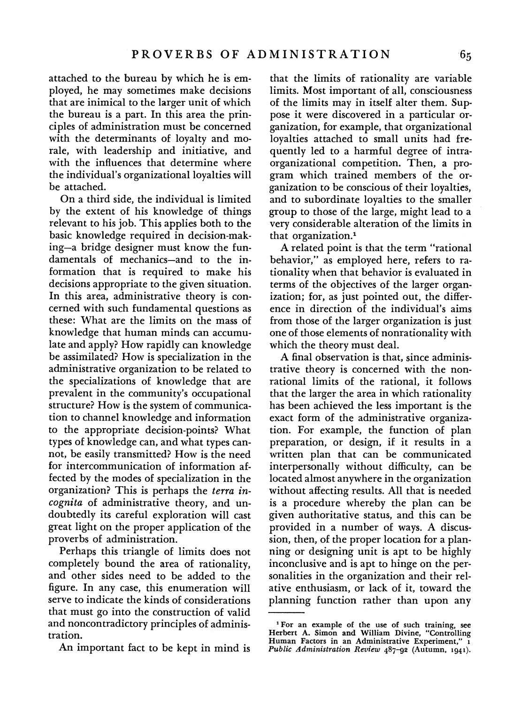attached to the bureau by which he is employed, he may sometimes make decisions that are inimical to the larger unit of which the bureau is a part. In this area the principles of administration must be concerned with the determinants of loyalty and morale, with leadership and initiative, and with the influences that determine where the individual's organizational loyalties will be attached.

On a third side, the individual is limited by the extent of his knowledge of things relevant to his job. This applies both to the basic knowledge required in decision-making-a bridge designer must know the fundamentals of mechanics-and to the information that is required to make his decisions appropriate to the given situation. In this area, administrative theory is concerned with such fundamental questions as these: What are the limits on the mass of knowledge that human minds can accumulate and apply? How rapidly can knowledge be assimilated? How is specialization in the administrative organization to be related to the specializations of knowledge that are prevalent in the community's occupational structure? How is the system of communication to channel knowledge and information to the appropriate decision-points? What types of knowledge can, and what types cannot, be easily transmitted? How is the need for intercommunication of information affected by the modes of specialization in the organization? This is perhaps the *terra incognita* of administrative theory, and undoubtedly its careful exploration will cast great light on the proper application of the proverbs of administration.

Perhaps this triangle of limits does not completely bound the area of rationality, and other sides need to be added to the figure. In any case, this enumeration will serve to indicate the kinds of considerations that must go into the construction of valid and noncontradictory principles of administration.

An important fact to be kept in mind is

that the limits of rationality are variable limits. Most important of all, consciousness of the limits may in itself alter them. Suppose it were discovered in a particular organization, for example, that organizational loyalties attached to small units had frequently led to a harmful degree of intraorganizational competition. Then, a program which trained members of the organization to be conscious of their loyalties, and to subordinate loyalties to the smaller group to those of the large, might lead to a very considerable alteration of the limits in that organization.'

A related point is that the term "rational behavior," as employed here, refers to rationality when that behavior is evaluated in terms of the objectives of the larger organization; for, as just pointed out, the difference in direction of the individual's aims from those of the larger organization is just one of those elements of nonrationality with which the theory must deal.

A final observation is that, since administrative theory is concerned with the nonrational limits of the rational, it follows that the larger the area in which rationality has been achieved the less important is the exact form of the administrative organization. For example, the function of plan preparation, or design, if it results in a written plan that can be communicated interpersonally without difficulty, can be located almost anywhere in the organization without affecting results. All that is needed is a procedure whereby the plan can be given authoritative status, and this can be provided in a number of ways. **A** discussion, then, of the proper location for a planning or designing unit is apt to be highly inconclusive and is apt to hinge on the personalities in the organization and their relative enthusiasm, or lack of it, toward the planning function rather than upon any

**<sup>&#</sup>x27;For an example of the use of such training, see Herbert A. Simon and William Divine, "Controlling Human Factors in an Administrative Experiment," 1**  *Public* **Administration** *Review* **487-92 (Autumn, 1941).**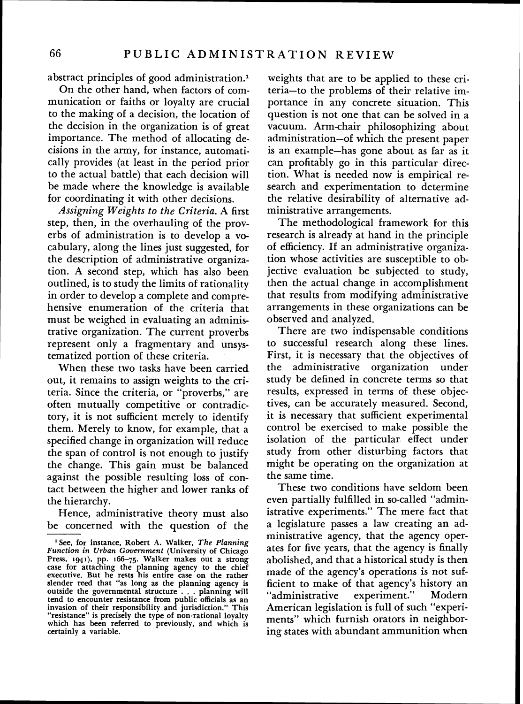abstract principles of good administration.'

On the other hand, when factors of communication or faiths or loyalty are crucial to the making of a decision, the location of the decision in the organization is of great importance. The method of allocating decisions in the army, for instance, automatically provides (at least in the period prior to the actual battle) that each decision will be made where the knowledge is available for coordinating it with other decisions.

*Assigning Weights to the Criteria. A* first step, then, in the overhauling of the proverbs of administration is to develop a vocabulary, along the lines just suggested, for the description of administrative organization. **A** second step, which has also been outlined, is to study the limits of rationality in order to develop a complete and comprehensive enumeration of the criteria that must be weighed in evaluating an administrative organization. The current proverbs represent only a fragmentary and unsystematized portion of these criteria.

When these two tasks have been carried out, it remains to assign weights to the criteria. Since the criteria, or "proverbs," are often mutually competitive or contradictory, it is not sufficient merely to identify them. Merely to know, for example, that a specified change in organization will reduce the span of control is not enough to justify the change. This gain must be balanced against the possible resulting loss of contact between the higher and lower ranks of the hierarchy.

Hence, administrative theory must also be concerned with the question of the

weights that are to be applied to these criteria-to the problems of their relative importance in any concrete situation. This question is not one that can be solved in a vacuum. Arm-chair philosophizing about administration-of which the present paper is an example-has gone about as far as it can profitably go in this particular direction. What is needed now is empirical research and experimentation to determine the relative desirability of alternative administrative arrangements.

The methodological framework for this research is already at hand in the principle of efficiency. If an administrative organization whose activities are susceptible to objective evaluation be subjected to study, then the actual change in accomplishment that results from modifying administrative arrangements in these organizations can be observed and analyzed.

There are two indispensable conditions to successful research along these lines. First, it is necessary that the objectives of the administrative organization under study be defined in concrete terms so that results, expressed in terms of these objectives, can be accurately measured. Second, it is necessary that sufficient experimental control be exercised to make possible the isolation of the particular effect under study from other disturbing factors that might be operating on the organization at the same time.

These two conditions have seldom been even partially fulfilled in so-called "administrative experiments." The mere fact that a legislature passes a law creating an administrative agency, that the agency operates for five years, that the agency is finally abolished, and that a historical study is then made of the agency's operations is not sufficient to make of that agency's history an<br>"administrative experiment." Modern "administrative experiment." Modern American legislation is full of such "experiments" which furnish orators in neighboring states with abundant ammunition when

**<sup>&#</sup>x27;See, for instance, Robert A. Walker,** *The Planning Function in Urban Government* **(University of Chicago Press, 1941)~pp. 166-75. Walker makes out a strong case for attaching the planning agency to the chief executive. But he rests his entire case on the rather slender reed that "as long as the planning agency is outside the governmental structure** . . . **planning will tend to encounter resistance from public officials as an invasion of their responsibility and jurisdiction." This "resistance" is precisely the type of non-rational loyalty which has been referred to previously, and which is certainly a variable.**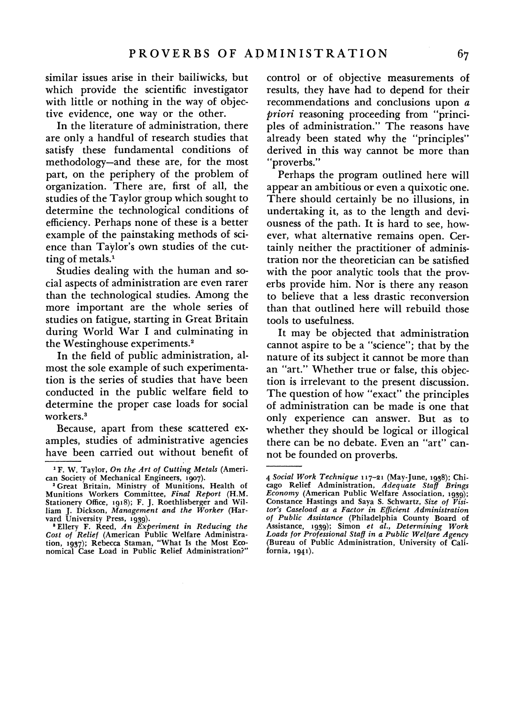similar issues arise in their bailiwicks, but which provide the scientific investigator with little or nothing in the way of objective evidence, one way or the other.

In the literature of administration, there are only a handful of research studies that satisfy these fundamental conditions of methodology-and these are, for the most part, on the periphery of the problem of organization. There are, first of all, the studies of the Taylor group which sought to determine the technological conditions of efficiency. Perhaps none of these is a better example of the painstaking methods of science than Taylor's own studies of the cutting of metals. $<sup>1</sup>$ </sup>

Studies dealing with the human and social aspects of administration are even rarer than the technological studies. Among the more important are the whole series of studies on fatigue, starting in Great Britain during World War I and culminating in the Westinghouse experiments.<sup>2</sup>

In the field of public administration, almost the sole example of such experimentation is the series of studies that have been conducted in the public welfare field to determine the proper case loads for social workers.<sup>3</sup>

Because, apart from these scattered examples, studies of administrative agencies have been carried out without benefit of

**vard University Press, 1939). 8Ellery F. Reed,** *An Experiment in Reducing the Cost of Relief* **(American Public Welfare Administration, 1937); Rebecca Staman, "What Is the Most Economical Case Load in Public Relief Administration?"** 

control or of objective measurements of results, they have had to depend for their recommendations and conclusions upon a *priori* reasoning proceeding from "principles of administration." The reasons have already been stated why the "principles" derived in this way cannot be more than "proverbs."

Perhaps the program outlined here will appear an ambitious or even a quixotic one. There should certainly be no illusions, in undertaking it, as to the length and deviousness of the path. It is hard to see, however, what alternative remains open. Certainly neither the practitioner of administration nor the theoretician can be satisfied with the poor analytic tools that the proverbs provide him. Nor is there any reason to believe that a less drastic reconversion than that outlined here will rebuild those tools to usefulness.

It may be objected that administration cannot aspire to be a "science"; that by the nature of its subject it cannot be more than an "art." Whether true or false, this objection is irrelevant to the present discussion. The question of how "exact" the principles of administration can be made is one that only experience can answer. But as to whether they should be logical or illogical there can be no debate. Even an "art" cannot be founded on proverbs.

**IF.W. Taylor,** *On the Art of Cutting Metals* **(Ameri- can Society of Mechanical Engineers, 1907).** 

**<sup>2</sup>Great Britain, Ministry of Munitions, Health of Munitions Workers Committee,** *Final Report* **(H.M. Stationery Office, 1918); F. J. Roethlisberger and William J. Dickson,** *Management and the Worker* **(Har-**

*<sup>4</sup> Social Work Technique* **117-21 (May-June, 1938);Chicago Relief Administration,** *Adequate Staff Brings Economy* **(American Public Welfare Association, 1939); Constance Hastings and Saya S. Schwartz,** *Size of Visitor's Caseload as a Factor in Eficient Administration of Public Assistance* **(Philadelphia County Board of Assistance, 1939); Simon** *et al., Determining Work Loads for Professional Staff in a Public Welfare Agency*  **(Bureau of Public Administration, University of California, 1941).**